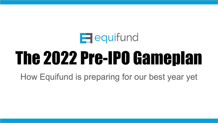

# The 2022 Pre-IPO Gameplan

How Equifund is preparing for our best year yet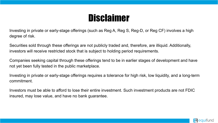### **Disclaimer**

Investing in private or early-stage offerings (such as Reg A, Reg S, Reg-D, or Reg CF) involves a high degree of risk.

Securities sold through these offerings are not publicly traded and, therefore, are illiquid. Additionally, investors will receive restricted stock that is subject to holding period requirements.

Companies seeking capital through these offerings tend to be in earlier stages of development and have not yet been fully tested in the public marketplace.

Investing in private or early-stage offerings requires a tolerance for high risk, low liquidity, and a long-term commitment.

Investors must be able to afford to lose their entire investment. Such investment products are not FDIC insured, may lose value, and have no bank guarantee.

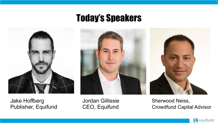Jake Hoffberg Publisher, Equifund Today's Speakers



Jordan Gillissie CEO, Equifund

Sherwood Neiss, Crowdfund Capital Advisor

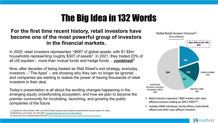### The Big Idea in 132 Words

#### **For the first time recent history, retail investors have become one of the most powerful group of investors in the financial markets.**

In 2020, retail investors represented ~\$68T of global assets, with \$1-\$5m households representing roughly \$30T of assets<sup>2</sup>. In 2021, they traded 23% of all US equities – more than mutual funds and hedge funds… *combined!*<sup>3</sup>

Now, after decades of being treated as Wall Street's exit strategy, everyday investors – "The Apes" – are showing why they can no longer be ignored… and companies are starting to realize the power of having thousands of retail investors in their deal.

Today's presentation is all about the exciting changes happening in the emerging equity crowdfunding ecosystem, and how we plan to become the premier community for incubating, launching, and growing the public companies of the future.

(2) Blackstone, John Finley, Jan 14th 2020: ["Expanding Retail Access to Private Markets"](https://www.sec.gov/files/Panel2-John-Finley-Blackstone.pdf)



- Retail investors represent ~\$68T market, with mass affluent investors making up 20% (~\$30T) (1)
- Includes HNW individuals, family offices, multi-family officers and other mass affluent investors

 $\Box$  equifund

<sup>(1)</sup> CapGemini, Oliver Wyman, PWC, as of 2019. Retail measured across global households with financial assets >\$1 million.

<sup>(3)</sup> Financial Times, Published March 8th 2021, [Rise of the retail army: the amateur traders transforming markets](https://www.ft.com/content/7a91e3ea-b9ec-4611-9a03-a8dd3b8bddb5)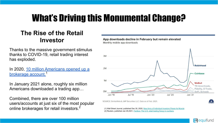### What's Driving this Monumental Change?

#### **The Rise of the Retail Investor**

Thanks to the massive government stimulus thanks to COVID-19, retail trading interest has exploded.

In 2020, [10 million Americans opened up a](https://www.wsj.com/articles/new-army-of-individual-investors-flexes-its-muscle-11609329600#:~:text=More%20than%2010%20million%20new%20brokerage%20accounts%20were,to%20delist%20its%20stock.%20Photo%3A%20Justin%20Sullivan%2FGetty%20Images) [brokerage account.](https://www.wsj.com/articles/new-army-of-individual-investors-flexes-its-muscle-11609329600#:~:text=More%20than%2010%20million%20new%20brokerage%20accounts%20were,to%20delist%20its%20stock.%20Photo%3A%20Justin%20Sullivan%2FGetty%20Images)<sup>1</sup>

In January 2021 alone, roughly six million Americans downloaded a trading app…

Combined, there are over 100 million users/accounts at just six of the most popular Online brokerages for retail investors.<sup>2</sup> (1) Wall Street Journal, published Dec 30, 2020, [New Army of Individual Investors Flexes Its Muscle](https://www.wsj.com/articles/new-army-of-individual-investors-flexes-its-muscle-11609329600#:~:text=More%20than%2010%20million%20new%20brokerage%20accounts%20were,to%20delist%20its%20stock.%20Photo%3A%20Justin%20Sullivan%2FGetty%20Images)

App downloads decline in February but remain elevated Monthly mobile app downloads



SOURCE: SimilarWeb & JMP Securities LLC. Data as of Feb. 2021.

(2) Reuters, published Jan 29,2021, [Factbox: The U.S. retail trading frenzy in numbers](https://www.reuters.com/article/us-retail-trading-numbers/factbox-the-u-s-retail-trading-frenzy-in-numbers-iduskbn29y2pw)

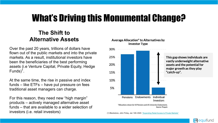### What's Driving this Monumental Change?

#### **The Shift to Alternative Assets**

Over the past 20 years, trillions of dollars have flown out of the public markets and into the private markets. As a result, institutional investors have been the beneficiaries of the best performing assets (i.e Venture Capital, Private Equity, Hedge Funds $)^{1}$ .

At the same time, the rise in passive and index funds – like ETFs – have put pressure on fees traditional asset managers can charge.

For this reason, they need new "high margin" products – actively managed alternative asset funds – that are available to a wider selection of investors (i.e. retail investors) (1) Blackstone, John Finley, Jan 14th 2020: ["Expanding Retail Access to Private Markets"](https://www.sec.gov/files/Panel2-John-Finley-Blackstone.pdf)

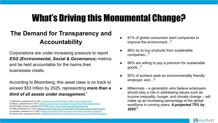### What's Driving this Monumental Change?

#### **The Demand for Transparency and Accountability**

Corporations are under increasing pressure to report *ESG (Environmental, Social & Governance*) metrics and be held accountable for the harms their businesses create.

According to Bloomberg, this asset class is on track to exceed \$53 trillion by 2025, representing *more than a third of all assets under management.*[1](https://www.wsj.com/articles/new-army-of-individual-investors-flexes-its-muscle-11609329600#:~:text=More%20than%2010%20million%20new%20brokerage%20accounts%20were,to%20delist%20its%20stock.%20Photo%3A%20Justin%20Sullivan%2FGetty%20Images)

(6) Global Future, published Aug 2019, [LOBBYING FOR GOOD, How Business Action Groups Can Help Save Capitalism](https://ourglobalfuture.com/wp-content/uploads/2019/08/lobbying-for-good-report-15-final.pdf)

- 81% of global consumers want companies to improve the environment...<sup>2</sup>
- 88% try to buy products from sustainable companies...
- 66% are willing to pay a premium for sustainable goods...<sup>4</sup>
- 92% of workers seek an environmentally friendly employer, and…<sup>5</sup>
- Millennials a generation who believe employers should play a role in addressing issues such as income inequality, hunger, and climate change – will make up an increasing percentage of the global workforce in coming years: *A projected 75% by 2025.*<sup>6</sup>



<sup>(1)</sup> Bloomberg, published Feb 23, 2021, [ESG assets may hit \\$53 trillion by 2025, a third of global AUM](https://www.bloomberg.com/professional/blog/esg-assets-may-hit-53-trillion-by-2025-a-third-of-global-aum/) (2) Nielsen, published Sept 11,2018, [Global Consumers Seek Companies That Care About Environmental Issues](https://www.nielsen.com/eu/en/insights/article/2018/global-consumers-seek-companies-that-care-about-environmental-issues/) (3) BCG Digital Ventures, published Apr 8, 2020, [Even in These Tough Times, ESG Remains Vital](https://medium.com/bcg-digital-ventures/even-in-these-tough-times-esg-remains-vital-3d41e75248d0) (4) CNBC, published Nov 4, 2016, [Millennials willing to pay more for sustainable, better quality goods: Nestlé Chairman](https://www.cnbc.com/2016/11/04/millennials-willing-to-pay-more-for-sustainable-better-quality-goods-nestle-chairman.html) (5) GreenBiz, published Oct 16, 2007, [Working for the Earth: Green Companies and Green Jobs Attract Employees](https://www.greenbiz.com/article/working-earth-green-companies-and-green-jobs-attract-employees)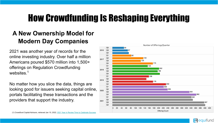### How Crowdfunding Is Reshaping Everything

#### **A New Ownership Model for Modern Day Companies**

2021 was another year of records for the online investing industry. Over half a million Americans poured \$570 million into 1,500+ offerings on Regulation Crowdfunding websites.<sup>[1](https://www.wsj.com/articles/new-army-of-individual-investors-flexes-its-muscle-11609329600#:~:text=More%20than%2010%20million%20new%20brokerage%20accounts%20were,to%20delist%20its%20stock.%20Photo%3A%20Justin%20Sullivan%2FGetty%20Images)</sup>

No matter how you slice the data, things are looking good for issuers seeking capital online, portals facilitating these transactions and the providers that support the industry.



 $\blacksquare$  equifund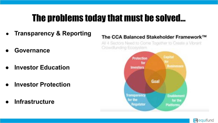### The problems today that must be solved…

- **Transparency & Reporting**
- **● Governance**
- **● Investor Education**
- **● Investor Protection**
- **● Infrastructure**

#### The CCA Balanced Stakeholder Framework™

All 4 Sectors Need to Come Together to Create a Vibrant Crowdfunding Ecosystem



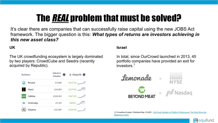### The *REAL* problem that must be solved?

It's clear there are companies that can successfully raise capital using the new JOBS Act framework. The bigger question is this: *What types of returns are investors achieving in this new asset class?*

#### **UK**

The UK crowdfunding ecosystem is largely dominated by two players: CrowdCube and Seedrs (recently acquired by Republic).



#### **Israel**

In total, since OurCrowd launched in 2013, 45 portfolio companies have provided an exit for investors.[1](https://www.wsj.com/articles/new-army-of-individual-investors-flexes-its-muscle-11609329600#:~:text=More%20than%2010%20million%20new%20brokerage%20accounts%20were,to%20delist%20its%20stock.%20Photo%3A%20Justin%20Sullivan%2FGetty%20Images)



(1) Crowdfund Insider, Published May 10,2021, [OurCrowd Updates on Platform Performance: Two Exits Since the](https://www.crowdfundinsider.com/2021/05/175147-ourcrowd-updates-on-platform-performance-five-exits-since-the-beginning-of-2021/) [Beginning of 2021](https://www.crowdfundinsider.com/2021/05/175147-ourcrowd-updates-on-platform-performance-five-exits-since-the-beginning-of-2021/)

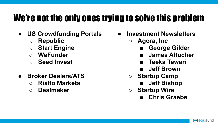### We're not the only ones trying to solve this problem

- **US Crowdfunding Portals**
	- **Republic**
	- **Start Engine**
	- **○ WeFunder**
	- **Seed Invest**
- **● Broker Dealers/ATS**
	- **○ Rialto Markets**
	- **○ Dealmaker**
- **● Investment Newsletters**
	- **○ Agora, Inc**
		- **■ George Gilder**
		- **■ James Altucher**
		- **■ Teeka Tewari**
		- **■ Jeff Brown**
	- **○ Startup Camp**
		- **■ Jeff Bishop**
	- **○ Startup Wire**
		- **■ Chris Graebe**

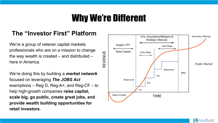### Why We're Different

#### **The "Investor First" Platform**

We're a group of veteran capital markets professionals who are on a mission to change the way wealth is created  $-$  and distributed  $$ here in America.

We're doing this by building a *market network*  focused on leveraging *The JOBS Act* exemptions – Reg D, Reg-A+, and Reg-CF – to help high-growth companies **raise capital, scale big, go public, create great jobs, and provide wealth building opportunities for retail investors.**



 $\Box$  equifund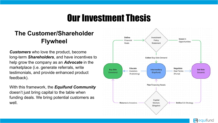### Our Investment Thesis

#### **The Customer/Shareholder Flywheel**

*Customers* who love the product, become long-term *Shareholders*, and have incentives to help grow the company as an *Advocate* in the marketplace (i.e. generate referrals, write testimonials, and provide enhanced product feedback).

With this framework, the *Equifund Community* doesn't just bring capital to the table when funding deals. We bring potential customers as well.



 $\Box$  equifund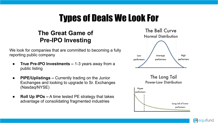### Types of Deals We Look For

#### **The Great Game of Pre-IPO Investing**

We look for companies that are committed to becoming a fully reporting public company

- **True Pre-IPO Investments –** 1-3 years away from a public listing
- **PIPE/Uplistings –** Currently trading on the Junior Exchanges and looking to upgrade to Sr. Exchanges (Nasdaq/NYSE)
- **Roll Up IPOs –** A time tested PE strategy that takes advantage of consolidating fragmented industries



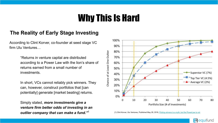### Why This Is Hard

#### **The Reality of Early Stage Investing**

According to Clint Korver, co-founder at seed stage VC firm Ulu Ventures…

> "Returns in venture capital are distributed according to a Power Law with the lion's share of returns earned from a small number of investments.

In short, VCs cannot reliably pick winners. They can, however, construct portfolios that [can potentially] generate [market beating] returns.

Simply stated, *more investments give a venture firm better odds of investing in an*  **Outlier company that can make a fund."**[1](https://www.wsj.com/articles/new-army-of-individual-investors-flexes-its-muscle-11609329600#:~:text=More%20than%2010%20million%20new%20brokerage%20accounts%20were,to%20delist%20its%20stock.%20Photo%3A%20Justin%20Sullivan%2FGetty%20Images) (1) Clint Korver, Ulu Ventures, Published May 29, 2018, [Picking winners is a myth, but the PowerLaw is not](https://medium.com/ulu-ventures/successful-vcs-need-at-least-one-outlier-to-have-a-well-performing-fund-c122c799dfb3)



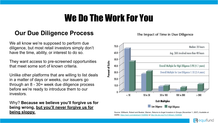### We Do The Work For You

#### **Our Due Diligence Process**

We all know we're supposed to perform due diligence, but most retail investors simply don't have the time, ability, or interest to do so.

They want access to pre-screened opportunities that meet some sort of known criteria.

Unlike other platforms that are willing to list deals in a matter of days or weeks, our issuers go through an 8 - 30+ week due diligence process before we're ready to introduce them to our investors.

Why? **Because we believe you'll forgive us for being wrong, but you'll never forgive us for being sloppy.** Source: Wiltbank, Robert and Boeker, Warren, Returns to Angel Investors in Groups (November 1, 2007). Available at



SSRN:<https://ssrn.com/abstract=1028592>or<http://dx.doi.org/10.2139/ssrn.1028592>

The Impact of Time in Due Diligence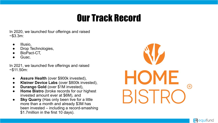### Our Track Record

In 2020, we launched four offerings and raised  $~53.3m$ :

- Illusio,
- Drop Technologies,
- BioPact-CT.
- Guac.

In 2021, we launched five offerings and raised  $~50m$ :

- Assure Health (over \$900k invested),
- **Kleiner Device Labs** (over \$800k invested),
- **Durango Gold** (over \$1M invested),
- **Home Bistro** (broke records for our highest invested amount ever at \$6M), and
- **Sky Quarry** (Has only been live for a little more than a month and already \$3M has been invested – including a record-smashing \$1.7million in the first 10 days).



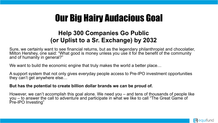### Our Big Hairy Audacious Goal

#### **Help 300 Companies Go Public (or Uplist to a Sr. Exchange) by 2032**

Sure, we certainly want to see financial returns, but as the legendary philanthropist and chocolatier, Milton Hershey, one said: "What good is money unless you use it for the benefit of the community and of humanity in general?"

We want to build the economic engine that truly makes the world a better place...

A support system that not only gives everyday people access to Pre-IPO investment opportunities they can't get anywhere else…

#### **But has the potential to create billion dollar brands we can be proud of.**

However, we can't accomplish this goal alone. We need you – and tens of thousands of people like you – to answer the call to adventure and participate in what we like to call "The Great Game of Pre-IPO Investing"

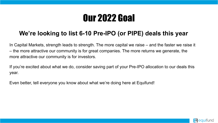## Our 2022 Goal

#### **We're looking to list 6-10 Pre-IPO (or PIPE) deals this year**

In Capital Markets, strength leads to strength. The more capital we raise – and the faster we raise it – the more attractive our community is for great companies. The more returns we generate, the more attractive our community is for investors.

If you're excited about what we do, consider saving part of your Pre-IPO allocation to our deals this year.

Even better, tell everyone you know about what we're doing here at Equifund!